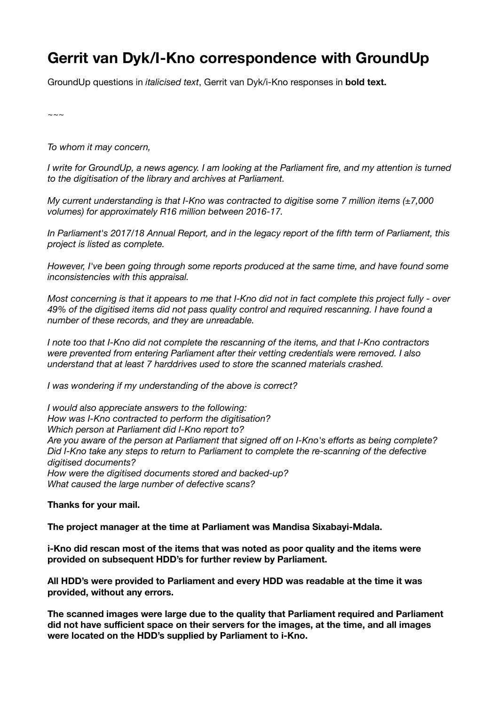## **Gerrit van Dyk/I-Kno correspondence with GroundUp**

GroundUp questions in *italicised text*, Gerrit van Dyk/i-Kno responses in **bold text.**

*~~~* 

*To whom it may concern,* 

*I* write for GroundUp, a news agency. I am looking at the Parliament fire, and my attention is turned *to the digitisation of the library and archives at Parliament.* 

*My current understanding is that I-Kno was contracted to digitise some 7 million items (±7,000 volumes) for approximately R16 million between 2016-17.* 

*In Parliament's 2017/18 Annual Report, and in the legacy report of the fifth term of Parliament, this project is listed as complete.* 

*However, I've been going through some reports produced at the same time, and have found some inconsistencies with this appraisal.* 

*Most concerning is that it appears to me that I-Kno did not in fact complete this project fully - over 49% of the digitised items did not pass quality control and required rescanning. I have found a number of these records, and they are unreadable.* 

*I note too that I-Kno did not complete the rescanning of the items, and that I-Kno contractors were prevented from entering Parliament after their vetting credentials were removed. I also understand that at least 7 harddrives used to store the scanned materials crashed.* 

*I was wondering if my understanding of the above is correct?* 

*I would also appreciate answers to the following: How was I-Kno contracted to perform the digitisation? Which person at Parliament did I-Kno report to? Are you aware of the person at Parliament that signed off on I-Kno's efforts as being complete? Did I-Kno take any steps to return to Parliament to complete the re-scanning of the defective digitised documents? How were the digitised documents stored and backed-up? What caused the large number of defective scans?* 

**Thanks for your mail.** 

**The project manager at the time at Parliament was Mandisa Sixabayi-Mdala.** 

**i-Kno did rescan most of the items that was noted as poor quality and the items were provided on subsequent HDD's for further review by Parliament.** 

**All HDD's were provided to Parliament and every HDD was readable at the time it was provided, without any errors.** 

**The scanned images were large due to the quality that Parliament required and Parliament did not have sufficient space on their servers for the images, at the time, and all images were located on the HDD's supplied by Parliament to i-Kno.**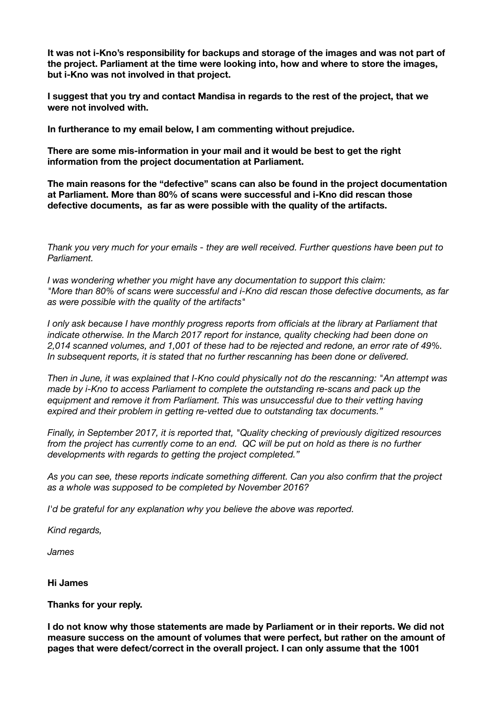**It was not i-Kno's responsibility for backups and storage of the images and was not part of the project. Parliament at the time were looking into, how and where to store the images, but i-Kno was not involved in that project.** 

**I suggest that you try and contact Mandisa in regards to the rest of the project, that we were not involved with.** 

**In furtherance to my email below, I am commenting without prejudice.** 

**There are some mis-information in your mail and it would be best to get the right information from the project documentation at Parliament.** 

**The main reasons for the "defective" scans can also be found in the project documentation at Parliament. More than 80% of scans were successful and i-Kno did rescan those defective documents, as far as were possible with the quality of the artifacts.** 

*Thank you very much for your emails - they are well received. Further questions have been put to Parliament.* 

*I was wondering whether you might have any documentation to support this claim: "More than 80% of scans were successful and i-Kno did rescan those defective documents, as far as were possible with the quality of the artifacts"* 

*I only ask because I have monthly progress reports from officials at the library at Parliament that indicate otherwise. In the March 2017 report for instance, quality checking had been done on 2,014 scanned volumes, and 1,001 of these had to be rejected and redone, an error rate of 49%. In subsequent reports, it is stated that no further rescanning has been done or delivered.* 

*Then in June, it was explained that I-Kno could physically not do the rescanning: "An attempt was made by i-Kno to access Parliament to complete the outstanding re-scans and pack up the equipment and remove it from Parliament. This was unsuccessful due to their vetting having expired and their problem in getting re-vetted due to outstanding tax documents."* 

*Finally, in September 2017, it is reported that, "Quality checking of previously digitized resources from the project has currently come to an end.* QC will be put on hold as there is no further *developments with regards to getting the project completed."* 

*As you can see, these reports indicate something different. Can you also confirm that the project as a whole was supposed to be completed by November 2016?* 

*I'd be grateful for any explanation why you believe the above was reported.* 

*Kind regards,* 

*James* 

**Hi James** 

**Thanks for your reply.** 

**I do not know why those statements are made by Parliament or in their reports. We did not measure success on the amount of volumes that were perfect, but rather on the amount of pages that were defect/correct in the overall project. I can only assume that the 1001**